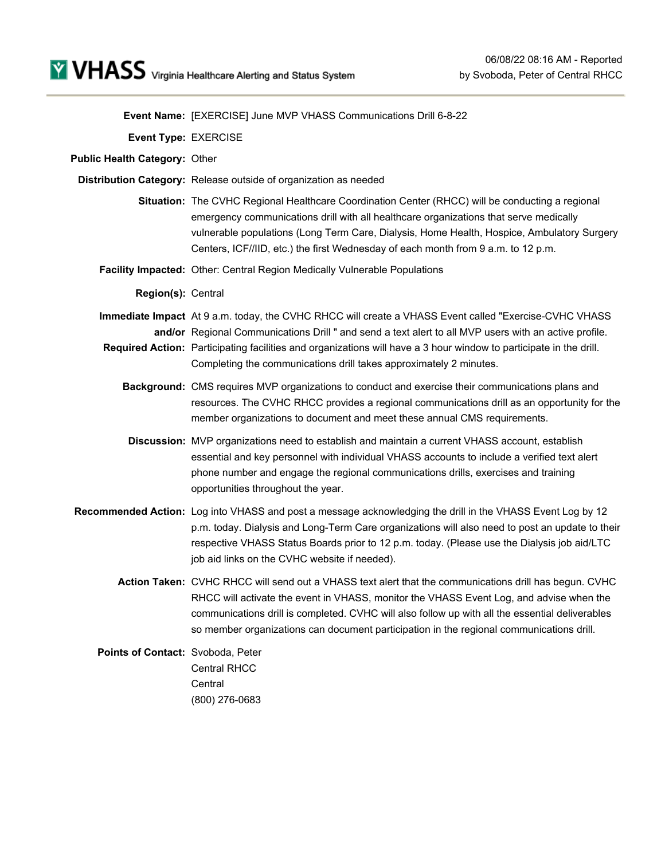**Event Name:** [EXERCISE] June MVP VHASS Communications Drill 6-8-22

**Event Type:** EXERCISE

**Public Health Category:** Other

- **Distribution Category:** Release outside of organization as needed
	- **Situation:** The CVHC Regional Healthcare Coordination Center (RHCC) will be conducting a regional emergency communications drill with all healthcare organizations that serve medically vulnerable populations (Long Term Care, Dialysis, Home Health, Hospice, Ambulatory Surgery Centers, ICF//IID, etc.) the first Wednesday of each month from 9 a.m. to 12 p.m.
	- **Facility Impacted:** Other: Central Region Medically Vulnerable Populations

**Region(s):** Central

- **Immediate Impact** At 9 a.m. today, the CVHC RHCC will create a VHASS Event called "Exercise-CVHC VHASS **and/or** Regional Communications Drill " and send a text alert to all MVP users with an active profile.
- **Required Action:** Participating facilities and organizations will have a 3 hour window to participate in the drill. Completing the communications drill takes approximately 2 minutes.
	- **Background:** CMS requires MVP organizations to conduct and exercise their communications plans and resources. The CVHC RHCC provides a regional communications drill as an opportunity for the member organizations to document and meet these annual CMS requirements.
	- **Discussion:** MVP organizations need to establish and maintain a current VHASS account, establish essential and key personnel with individual VHASS accounts to include a verified text alert phone number and engage the regional communications drills, exercises and training opportunities throughout the year.
- **Recommended Action:** Log into VHASS and post a message acknowledging the drill in the VHASS Event Log by 12 p.m. today. Dialysis and Long-Term Care organizations will also need to post an update to their respective VHASS Status Boards prior to 12 p.m. today. (Please use the Dialysis job aid/LTC job aid links on the CVHC website if needed).
	- **Action Taken:** CVHC RHCC will send out a VHASS text alert that the communications drill has begun. CVHC RHCC will activate the event in VHASS, monitor the VHASS Event Log, and advise when the communications drill is completed. CVHC will also follow up with all the essential deliverables so member organizations can document participation in the regional communications drill.

**Points of Contact:** Svoboda, Peter Central RHCC **Central** (800) 276-0683